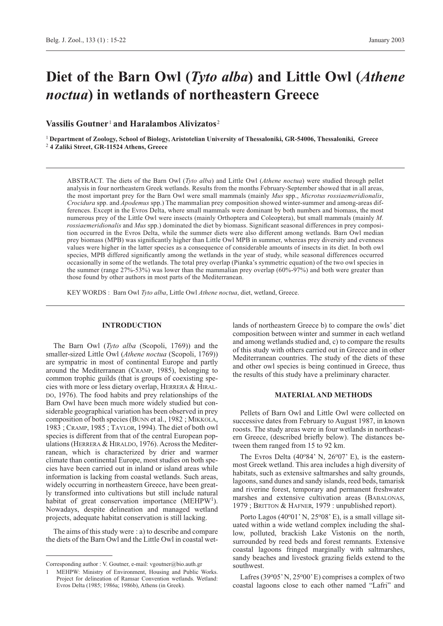# **Diet of the Barn Owl (***Tyto alba***) and Little Owl (***Athene noctua***) in wetlands of northeastern Greece**

# **Vassilis Goutner**<sup>1</sup> **and Haralambos Alivizatos**<sup>2</sup>

<sup>1</sup>**Department of Zoology, School of Biology, Aristotelian University of Thessaloniki, GR-54006, Thessaloniki, Greece** <sup>2</sup> **4 Zaliki Street, GR-11524 Athens, Greece**

ABSTRACT. The diets of the Barn Owl (*Tyto alba*) and Little Owl (*Athene noctua*) were studied through pellet analysis in four northeastern Greek wetlands. Results from the months February-September showed that in all areas, the most important prey for the Barn Owl were small mammals (mainly *Mus* spp., *Microtus rossiaemeridionalis*, *Crocidura* spp. and *Apodemus* spp.) The mammalian prey composition showed winter-summer and among-areas differences. Except in the Evros Delta, where small mammals were dominant by both numbers and biomass, the most numerous prey of the Little Owl were insects (mainly Orthoptera and Coleoptera), but small mammals (mainly *M. rossiaemeridionalis* and *Mus* spp.) dominated the diet by biomass. Significant seasonal differences in prey composition occurred in the Evros Delta, while the summer diets were also different among wetlands. Barn Owl median prey biomass (MPB) was significantly higher than Little Owl MPB in summer, whereas prey diversity and evenness values were higher in the latter species as a consequence of considerable amounts of insects in its diet. In both owl species, MPB differed significantly among the wetlands in the year of study, while seasonal differences occurred occasionally in some of the wetlands. The total prey overlap (Pianka's symmetric equation) of the two owl species in the summer (range 27%-53%) was lower than the mammalian prey overlap (60%-97%) and both were greater than those found by other authors in most parts of the Mediterranean.

KEY WORDS : Barn Owl *Tyto alba*, Little Owl *Athene noctua*, diet, wetland, Greece.

## **INTRODUCTION**

The Barn Owl (*Tyto alba* (Scopoli, 1769)) and the smaller-sized Little Owl (*Athene noctua* (Scopoli, 1769)) are sympatric in most of continental Europe and partly around the Mediterranean (CRAMP, 1985), belonging to common trophic guilds (that is groups of coexisting species with more or less dietary overlap, HERRERA & HIRAL-DO, 1976). The food habits and prey relationships of the Barn Owl have been much more widely studied but considerable geographical variation has been observed in prey composition of both species (BUNN et al., 1982 ; MIKKOLA, 1983 ; CRAMP, 1985 ; TAYLOR, 1994). The diet of both owl species is different from that of the central European populations (HERRERA & HIRALDO, 1976). Across the Mediterranean, which is characterized by drier and warmer climate than continental Europe, most studies on both species have been carried out in inland or island areas while information is lacking from coastal wetlands. Such areas, widely occurring in northeastern Greece, have been greatly transformed into cultivations but still include natural habitat of great conservation importance (MEHPW<sup>1</sup>). Nowadays, despite delineation and managed wetland projects, adequate habitat conservation is still lacking.

The aims of this study were : a) to describe and compare the diets of the Barn Owl and the Little Owl in coastal wet-

lands of northeastern Greece b) to compare the owls' diet composition between winter and summer in each wetland and among wetlands studied and, c) to compare the results of this study with others carried out in Greece and in other Mediterranean countries. The study of the diets of these and other owl species is being continued in Greece, thus the results of this study have a preliminary character.

## **MATERIAL AND METHODS**

Pellets of Barn Owl and Little Owl were collected on successive dates from February to August 1987, in known roosts. The study areas were in four wetlands in northeastern Greece, (described briefly below). The distances between them ranged from 15 to 92 km.

The Evros Delta  $(40^{\circ}84' \text{ N}, 26^{\circ}07' \text{ E})$ , is the easternmost Greek wetland. This area includes a high diversity of habitats, such as extensive saltmarshes and salty grounds, lagoons, sand dunes and sandy islands, reed beds, tamarisk and riverine forest, temporary and permanent freshwater marshes and extensive cultivation areas (BABALONAS, 1979 ; BRITTON & HAFNER, 1979 : unpublished report).

Porto Lagos  $(40°01' N, 25°08' E)$ , is a small village situated within a wide wetland complex including the shallow, polluted, brackish Lake Vistonis on the north, surrounded by reed beds and forest remnants. Extensive coastal lagoons fringed marginally with saltmarshes, sandy beaches and livestock grazing fields extend to the southwest.

Lafres (39°05' N, 25°00' E) comprises a complex of two coastal lagoons close to each other named "Lafri" and

Corresponding author : V. Goutner, e-mail: vgoutner@bio.auth.gr

<sup>1</sup> MEHPW: Ministry of Environment, Housing and Public Works. Project for delineation of Ramsar Convention wetlands. Wetland: Evros Delta (1985; 1986a; 1986b), Athens (in Greek).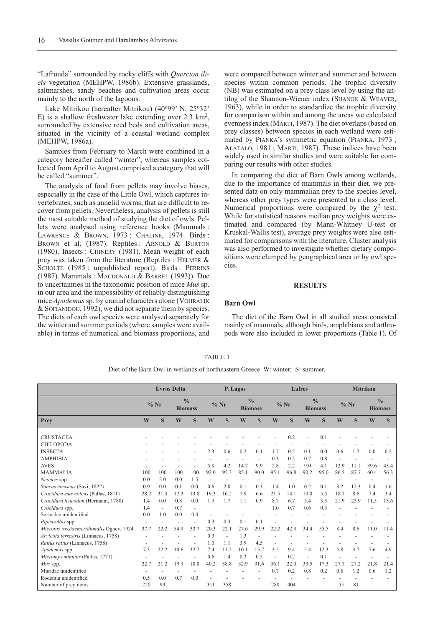"Lafrouda" surrounded by rocky cliffs with *Quercion ilicis* vegetation (MEHPW, 1986b). Extensive grasslands, saltmarshes, sandy beaches and cultivation areas occur mainly to the north of the lagoons.

Lake Mitrikou (hereafter Mitrikou) (40°99' N, 25°32' E) is a shallow freshwater lake extending over 2.3 km2, surrounded by extensive reed beds and cultivation areas, situated in the vicinity of a coastal wetland complex (MEHPW, 1986a).

Samples from February to March were combined in a category hereafter called "winter", whereas samples collected from April to August comprised a category that will be called "summer".

The analysis of food from pellets may involve biases, especially in the case of the Little Owl, which captures invertebrates, such as annelid worms, that are difficult to recover from pellets. Nevertheless, analysis of pellets is still the most suitable method of studying the diet of owls. Pellets were analysed using reference books (Mammals : LAWRENCE & BROWN, 1973 ; CHALINE, 1974. Birds : BROWN et al. (1987). Reptiles : ARNOLD & BURTON (1980). Insects : CHINERY (1981). Mean weight of each prey was taken from the literature (Reptiles : HELMER & SCHOLTE (1985 : unpublished report). Birds : PERRINS (1987). Mammals : MACDONALD & BARRET (1993)). Due to uncertainties in the taxonomic position of mice *Mus* sp. in our area and the impossibility of reliably distinguishing mice *Apodemus* sp. by cranial characters alone (VOHRALIK & SOFIANIDOU, 1992), we did not separate them by species. The diets of each owl species were analysed separately for the winter and summer periods (where samples were available) in terms of numerical and biomass proportions, and

were compared between winter and summer and between species within common periods. The trophic diversity (NB) was estimated on a prey class level by using the antilog of the Shannon-Wiener index (SHANON & WEAVER, 1963), while in order to standardize the trophic diversity for comparison within and among the areas we calculated evenness index (MARTI, 1987). The diet overlaps (based on prey classes) between species in each wetland were estimated by PIANKA's symmetric equation (PIANKA, 1973 ; ALATALO, 1981 ; MARTI, 1987). These indices have been widely used in similar studies and were suitable for comparing our results with other studies.

In comparing the diet of Barn Owls among wetlands, due to the importance of mammals in their diet, we presented data on only mammalian prey to the species level, whereas other prey types were presented to a class level. Numerical proportions were compared by the  $\chi^2$  test. While for statistical reasons median prey weights were estimated and compared (by Mann-Whitney U-test or Kruskal-Wallis test), average prey weights were also estimated for comparisons with the literature. Cluster analysis was also performed to investigate whether dietary compositions were clumped by geographical area or by owl species.

#### **RESULTS**

## **Barn Owl**

The diet of the Barn Owl in all studied areas consisted mainly of mammals, although birds, amphibians and arthropods were also included in lower proportions (Table 1). Of

|                                          |                |                          | <b>Evros Delta</b> |                                 |                          |                          | P. Lagos |                                 |                |        | Lafres                          |      |      | <b>Mitrikou</b> |               |                          |
|------------------------------------------|----------------|--------------------------|--------------------|---------------------------------|--------------------------|--------------------------|----------|---------------------------------|----------------|--------|---------------------------------|------|------|-----------------|---------------|--------------------------|
|                                          |                | $%$ Nr                   |                    | $\frac{0}{0}$<br><b>Biomass</b> |                          | $%$ Nr                   |          | $\frac{0}{0}$<br><b>Biomass</b> |                | $%$ Nr | $\frac{0}{0}$<br><b>Biomass</b> |      |      | $%$ Nr          | $\frac{0}{0}$ | <b>Biomass</b>           |
| Prey                                     | W              | S                        | W                  | S                               | W                        | S                        | W        | S                               | W              | S      | W                               | S    | W    | S               | W             | S                        |
|                                          |                |                          |                    |                                 |                          |                          |          |                                 |                |        |                                 |      |      |                 |               |                          |
| <b>CRUSTACEA</b>                         |                |                          |                    |                                 |                          |                          |          |                                 |                | 0.2    |                                 | 0.1  |      |                 |               |                          |
| <b>CHILOPODA</b>                         |                |                          |                    |                                 |                          |                          |          |                                 |                |        |                                 |      |      |                 |               |                          |
| <b>INSECTA</b>                           |                |                          |                    |                                 | 2.3                      | 0.6                      | 0.2      | 0.1                             | 1.7            | 0.2    | 0.1                             | 0.0  | 0.6  | 1.2             | 0.0           | 0.2                      |
| <b>AMPHIBIA</b>                          |                |                          |                    |                                 |                          |                          | ÷        | $\blacksquare$                  | 0.3            | 0.5    | 0.7                             | 0.8  |      |                 | ÷             | $\overline{\phantom{a}}$ |
| <b>AVES</b>                              |                |                          |                    |                                 | 5.8                      | 4.2                      | 14.7     | 9.9                             | 2.8            | 2.2    | 9.0                             | 4.1  | 12.9 | 11.1            | 39.6          | 43.4                     |
| <b>MAMMALIA</b>                          | 100            | 100                      | 100                | 100                             | 92.0                     | 95.3                     | 85.1     | 90.0                            | 95.1           | 96.8   | 90.2                            | 95.0 | 86.5 | 87.7            | 60.4          | 56.3                     |
| Neomys spp.                              | 0.0            | 2.0                      | 0.0                | 1.5                             | $\overline{\phantom{a}}$ |                          | ٠        | $\overline{\phantom{a}}$        |                |        | ٠                               |      |      |                 |               |                          |
| Suncus etruscus (Savi, 1822)             | 0.9            | 0.0                      | 0.1                | 0.0                             | 0.6                      | 2.0                      | 0.1      | 0.3                             | 1.4            | 1.0    | 0.2                             | 0.1  | 3.2  | 12.3            | 0.4           | 1.6                      |
| Crocidura suaveolens (Pallas, 1811)      | 28.2           | 31.3                     | 12.3               | 13.8                            | 19.3                     | 16.2                     | 7.9      | 6.6                             | 21.5           | 14.1   | 10.0                            | 5.5  | 18.7 | 8.6             | 7.4           | 3.4                      |
| Crocidura leucodon (Hermann, 1780)       | 1.4            | 0.0                      | 0.8                | 0.0                             | 1.9                      | 1.7                      | 1.1      | 0.9                             | 8.7            | 6.7    | 5.4                             | 3.5  | 21.9 | 25.9            | 11.5          | 13.6                     |
| Crocidura spp.                           | 1.4            | $\sim$                   | 0.7                | $\overline{a}$                  |                          |                          |          |                                 | 1.0            | 0.7    | 0.6                             | 0.3  |      |                 |               |                          |
| Soricidae unidentified                   | 0.0            | 1.0                      | 0.0                | 0.4                             |                          |                          |          |                                 |                |        |                                 |      |      |                 |               |                          |
| Pipistrellus spp.                        | $\overline{a}$ | $\overline{\phantom{a}}$ |                    |                                 | 0.3                      | 0.3                      | 0.1      | 0.1                             |                |        |                                 |      |      |                 |               |                          |
| Microtus rossiaemeridionalis Ognev, 1924 | 37.7           | 22.2                     | 54.9               | 32.7                            | 20.3                     | 22.1                     | 27.6     | 29.9                            | 22.2           | 42.3   | 34.4                            | 55.5 | 8.4  | 8.6             | 11.0          | 11.4                     |
| Arvicola terrestris (Linnaeus, 1758)     |                |                          |                    |                                 | 0.3                      | $\overline{\phantom{a}}$ | 1.3      | $\overline{a}$                  |                |        |                                 |      |      |                 |               |                          |
| Rattus rattus (Linnaeus, 1758)           |                |                          |                    |                                 | 1.0                      | 1.1                      | 3.9      | 4.5                             |                |        |                                 |      |      |                 |               |                          |
| Apodemus spp.                            | 7.3            | 22.2                     | 10.6               | 32.7                            | 7.4                      | 11.2                     | 10.1     | 15.2                            | 3.5            | 9.4    | 5.4                             | 12.3 | 5.8  | 3.7             | 7.6           | 4.9                      |
| Micromys minutus (Pallas, 1771)          |                |                          |                    |                                 | 0.6                      | 1.4                      | 0.2      | 0.5                             | $\overline{a}$ | 0.2    | $\sim$                          | 0.1  |      |                 |               |                          |
| Mus spp.                                 | 22.7           | 21.2                     | 19.9               | 18.8                            | 40.2                     | 38.8                     | 32.9     | 31.6                            | 36.1           | 22.0   | 33.5                            | 17.3 | 27.7 | 27.2            | 21.8          | 21.4                     |
| Muridae unidentified                     |                | $\overline{\phantom{a}}$ |                    |                                 |                          |                          |          |                                 | 0.7            | 0.2    | 0.8                             | 0.2  | 0.6  | 1.2             | 0.6           | 1.2                      |
| Rodentia unidentified                    | 0.5            | 0.0                      | 0.7                | 0.0                             |                          |                          |          |                                 |                |        |                                 |      |      |                 |               |                          |
| Number of prey items                     | 220            | 99                       |                    |                                 | 311                      | 358                      |          |                                 | 288            | 404    |                                 |      | 155  | 81              |               |                          |

# TABLE 1 Diet of the Barn Owl in wetlands of northeastern Greece. W: winter; S: summer.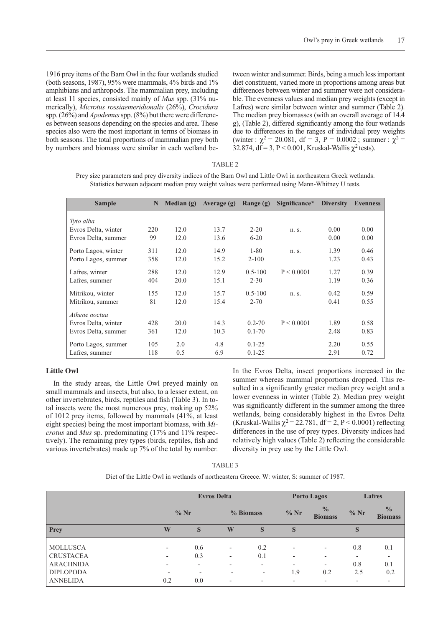1916 prey items of the Barn Owl in the four wetlands studied (both seasons, 1987), 95% were mammals, 4% birds and 1% amphibians and arthropods. The mammalian prey, including at least 11 species, consisted mainly of *Mus* spp. (31% numerically), *Microtus rossiaemeridionalis* (26%), *Crocidura* spp. (26%) and *Apodemus*spp. (8%) but there were differences between seasons depending on the species and area. These species also were the most important in terms of biomass in both seasons. The total proportions of mammalian prey both by numbers and biomass were similar in each wetland between winter and summer. Birds, being a much less important diet constituent, varied more in proportions among areas but differences between winter and summer were not considerable. The evenness values and median prey weights (except in Lafres) were similar between winter and summer (Table 2). The median prey biomasses (with an overall average of 14.4 g), (Table 2), differed significantly among the four wetlands due to differences in the ranges of individual prey weights (winter :  $\chi^2$  = 20.081, df = 3, P = 0.0002; summer :  $\chi^2$  = 32.874, df = 3, P < 0.001, Kruskal-Wallis  $\chi^2$  tests).

## TABLE 2

Prey size parameters and prey diversity indices of the Barn Owl and Little Owl in northeastern Greek wetlands. Statistics between adjacent median prey weight values were performed using Mann-Whitney U tests.

| <b>Sample</b>       | N   | Median $(g)$ | Average $(g)$ | Range (g)   | Significance* | <b>Diversity</b> | <b>Evenness</b> |
|---------------------|-----|--------------|---------------|-------------|---------------|------------------|-----------------|
| Tyto alba           |     |              |               |             |               |                  |                 |
| Evros Delta, winter | 220 | 12.0         | 13.7          | $2 - 20$    | n. s.         | 0.00             | 0.00            |
| Evros Delta, summer | 99  | 12.0         | 13.6          | $6 - 20$    |               | 0.00             | 0.00            |
| Porto Lagos, winter | 311 | 12.0         | 14.9          | $1 - 80$    | n. s.         | 1.39             | 0.46            |
| Porto Lagos, summer | 358 | 12.0         | 15.2          | $2 - 100$   |               | 1.23             | 0.43            |
| Lafres, winter      | 288 | 12.0         | 12.9          | $0.5 - 100$ | P < 0.0001    | 1.27             | 0.39            |
| Lafres, summer      | 404 | 20.0         | 15.1          | $2 - 30$    |               | 1.19             | 0.36            |
| Mitrikou, winter    | 155 | 12.0         | 15.7          | $0.5 - 100$ | n. s.         | 0.42             | 0.59            |
| Mitrikou, summer    | 81  | 12.0         | 15.4          | $2 - 70$    |               | 0.41             | 0.55            |
| Athene noctua       |     |              |               |             |               |                  |                 |
| Evros Delta, winter | 428 | 20.0         | 14.3          | $0.2 - 70$  | P < 0.0001    | 1.89             | 0.58            |
| Evros Delta, summer | 361 | 12.0         | 10.3          | $0.1 - 70$  |               | 2.48             | 0.83            |
| Porto Lagos, summer | 105 | 2.0          | 4.8           | $0.1 - 25$  |               | 2.20             | 0.55            |
| Lafres, summer      | 118 | 0.5          | 6.9           | $0.1 - 25$  |               | 2.91             | 0.72            |

# **Little Owl**

In the study areas, the Little Owl preyed mainly on small mammals and insects, but also, to a lesser extent, on other invertebrates, birds, reptiles and fish (Table 3). In total insects were the most numerous prey, making up 52% of 1012 prey items, followed by mammals (41%, at least eight species) being the most important biomass, with *Microtus* and *Mus* sp. predominating (17% and 11% respectively). The remaining prey types (birds, reptiles, fish and various invertebrates) made up 7% of the total by number. In the Evros Delta, insect proportions increased in the summer whereas mammal proportions dropped. This resulted in a significantly greater median prey weight and a lower evenness in winter (Table 2). Median prey weight was significantly different in the summer among the three wetlands, being considerably highest in the Evros Delta (Kruskal-Wallis  $\chi^2$  = 22.781, df = 2, P < 0.0001) reflecting differences in the use of prey types. Diversity indices had relatively high values (Table 2) reflecting the considerable diversity in prey use by the Little Owl.

# TABLE 3

Diet of the Little Owl in wetlands of northeastern Greece. W: winter, S: summer of 1987.

|                  |                          |                          | <b>Evros Delta</b>       |                          |                          | <b>Porto Lagos</b>              |        | Lafres                          |
|------------------|--------------------------|--------------------------|--------------------------|--------------------------|--------------------------|---------------------------------|--------|---------------------------------|
|                  |                          | $\%$ Nr                  |                          | % Biomass                | $%$ Nr                   | $\frac{0}{0}$<br><b>Biomass</b> | $%$ Nr | $\frac{0}{0}$<br><b>Biomass</b> |
| Prey             | W                        | S                        | W                        | S                        | S                        |                                 | S      |                                 |
| <b>MOLLUSCA</b>  | $\overline{\phantom{0}}$ | 0.6                      | $\overline{\phantom{a}}$ | 0.2                      | $\overline{a}$           | $\overline{\phantom{a}}$        | 0.8    | 0.1                             |
| <b>CRUSTACEA</b> | $\overline{\phantom{0}}$ | 0.3                      | $\overline{\phantom{a}}$ | 0.1                      | $\overline{\phantom{a}}$ | $\overline{\phantom{0}}$        |        |                                 |
| <b>ARACHNIDA</b> |                          | -                        | $\overline{\phantom{a}}$ | $\overline{\phantom{a}}$ | $\overline{a}$           | $\overline{\phantom{a}}$        | 0.8    | 0.1                             |
| <b>DIPLOPODA</b> | $\overline{a}$           | $\overline{\phantom{a}}$ |                          | $\overline{\phantom{a}}$ | 1.9                      | 0.2                             | 2.5    | 0.2                             |
| <b>ANNELIDA</b>  | 0.2                      | 0.0                      | $\overline{\phantom{a}}$ |                          |                          |                                 |        |                                 |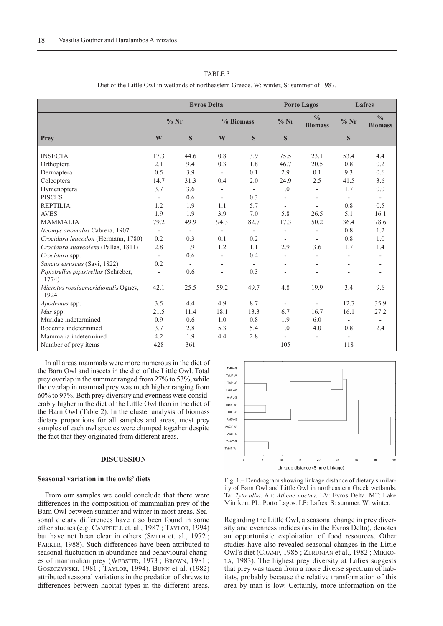## TABLE 3

Diet of the Little Owl in wetlands of northeastern Greece. W: winter, S: summer of 1987.

|                                               | <b>Evros Delta</b>       |                          |                          |                          | <b>Porto Lagos</b>       | Lafres                          |                          |                                 |
|-----------------------------------------------|--------------------------|--------------------------|--------------------------|--------------------------|--------------------------|---------------------------------|--------------------------|---------------------------------|
|                                               |                          | $%$ Nr                   |                          | % Biomass                | $%$ Nr                   | $\frac{0}{0}$<br><b>Biomass</b> | $%$ Nr                   | $\frac{0}{0}$<br><b>Biomass</b> |
| <b>Prey</b>                                   | W                        | S                        | W                        | S                        | S                        |                                 | S                        |                                 |
| <b>INSECTA</b>                                | 17.3                     | 44.6                     | 0.8                      | 3.9                      | 75.5                     | 23.1                            | 53.4                     | 4.4                             |
| Orthoptera                                    | 2.1                      | 9.4                      | 0.3                      | 1.8                      | 46.7                     | 20.5                            | 0.8                      | 0.2                             |
| Dermaptera                                    | 0.5                      | 3.9                      | $\overline{\phantom{a}}$ | 0.1                      | 2.9                      | 0.1                             | 9.3                      | 0.6                             |
| Coleoptera                                    | 14.7                     | 31.3                     | 0.4                      | 2.0                      | 24.9                     | 2.5                             | 41.5                     | 3.6                             |
| Hymenoptera                                   | 3.7                      | 3.6                      | $\overline{\phantom{a}}$ | $\sim$                   | 1.0                      | $\overline{\phantom{0}}$        | 1.7                      | 0.0                             |
| <b>PISCES</b>                                 | $\overline{\phantom{a}}$ | 0.6                      | $\overline{\phantom{a}}$ | 0.3                      | $\overline{\phantom{a}}$ | $\overline{\phantom{a}}$        | $\overline{\phantom{a}}$ | $\overline{\phantom{a}}$        |
| <b>REPTILIA</b>                               | 1.2                      | 1.9                      | 1.1                      | 5.7                      | $\overline{\phantom{a}}$ | $\overline{\phantom{a}}$        | 0.8                      | 0.5                             |
| <b>AVES</b>                                   | 1.9                      | 1.9                      | 3.9                      | 7.0                      | 5.8                      | 26.5                            | 5.1                      | 16.1                            |
| <b>MAMMALIA</b>                               | 79.2                     | 49.9                     | 94.3                     | 82.7                     | 17.3                     | 50.2                            | 36.4                     | 78.6                            |
| Neomys anomalus Cabrera, 1907                 | $\overline{\phantom{a}}$ | $\overline{\phantom{a}}$ | $\overline{\phantom{a}}$ | $\overline{\phantom{0}}$ | $\overline{\phantom{a}}$ | $\overline{\phantom{0}}$        | 0.8                      | 1.2                             |
| Crocidura leucodon (Hermann, 1780)            | 0.2                      | 0.3                      | 0.1                      | 0.2                      | $\overline{\phantom{a}}$ | $\overline{\phantom{a}}$        | 0.8                      | 1.0                             |
| Crocidura suaveolens (Pallas, 1811)           | 2.8                      | 1.9                      | 1.2                      | 1.1                      | 2.9                      | 3.6                             | 1.7                      | 1.4                             |
| Crocidura spp.                                | $\overline{\phantom{a}}$ | 0.6                      | $\overline{\phantom{a}}$ | 0.4                      | $\overline{\phantom{a}}$ | $\overline{a}$                  |                          |                                 |
| Suncus etruscus (Savi, 1822)                  | 0.2                      | $\overline{\phantom{0}}$ | $\overline{\phantom{a}}$ | $\overline{\phantom{a}}$ | $\overline{\phantom{a}}$ |                                 | $\overline{\phantom{a}}$ |                                 |
| Pipistrellus pipistrellus (Schreber,<br>1774) | $\overline{a}$           | 0.6                      | $\overline{\phantom{a}}$ | 0.3                      |                          |                                 |                          |                                 |
| Microtus rossiaemeridionalis Ogney,<br>1924   | 42.1                     | 25.5                     | 59.2                     | 49.7                     | 4.8                      | 19.9                            | 3.4                      | 9.6                             |
| Apodemus spp.                                 | 3.5                      | 4.4                      | 4.9                      | 8.7                      | $\overline{\phantom{a}}$ | $\overline{\phantom{a}}$        | 12.7                     | 35.9                            |
| Mus spp.                                      | 21.5                     | 11.4                     | 18.1                     | 13.3                     | 6.7                      | 16.7                            | 16.1                     | 27.2                            |
| Muridae indetermined                          | 0.9                      | 0.6                      | 1.0                      | 0.8                      | 1.9                      | 6.0                             | $\overline{\phantom{a}}$ |                                 |
| Rodentia indetermined                         | 3.7                      | 2.8                      | 5.3                      | 5.4                      | 1.0                      | 4.0                             | 0.8                      | 2.4                             |
| Mammalia indetermined                         | 4.2                      | 1.9                      | 4.4                      | 2.8                      | $\overline{\phantom{a}}$ |                                 | $\overline{\phantom{a}}$ |                                 |
| Number of prey items                          | 428                      | 361                      |                          |                          | 105                      |                                 | 118                      |                                 |

In all areas mammals were more numerous in the diet of the Barn Owl and insects in the diet of the Little Owl. Total prey overlap in the summer ranged from 27% to 53%, while the overlap in mammal prey was much higher ranging from 60% to 97%. Both prey diversity and evenness were considerably higher in the diet of the Little Owl than in the diet of the Barn Owl (Table 2). In the cluster analysis of biomass dietary proportions for all samples and areas, most prey samples of each owl species were clumped together despite the fact that they originated from different areas.

# **DISCUSSION**

## **Seasonal variation in the owls' diets**

From our samples we could conclude that there were differences in the composition of mammalian prey of the Barn Owl between summer and winter in most areas. Seasonal dietary differences have also been found in some other studies (e.g. CAMPBELL et. al., 1987 ; TAYLOR, 1994) but have not been clear in others (SMITH et. al., 1972 ; PARKER, 1988). Such differences have been attributed to seasonal fluctuation in abundance and behavioural changes of mammalian prey (WEBSTER, 1973 ; BROWN, 1981 ; GOSZCZYNSKI, 1981 ; TAYLOR, 1994). BUNN et al. (1982) attributed seasonal variations in the predation of shrews to differences between habitat types in the different areas.



Fig. 1.– Dendrogram showing linkage distance of dietary similarity of Barn Owl and Little Owl in northeastern Greek wetlands. Ta: *Tyto alba.* An: *Athene noctua*. EV: Evros Delta. MT: Lake Mitrikou. PL: Porto Lagos. LF: Lafres. S: summer. W: winter.

Regarding the Little Owl, a seasonal change in prey diversity and evenness indices (as in the Evros Delta), denotes an opportunistic exploitation of food resources. Other studies have also revealed seasonal changes in the Little Owl's diet (CRAMP, 1985 ; ZERUNIAN et al., 1982 ; MIKKO-LA, 1983). The highest prey diversity at Lafres suggests that prey was taken from a more diverse spectrum of habitats, probably because the relative transformation of this area by man is low. Certainly, more information on the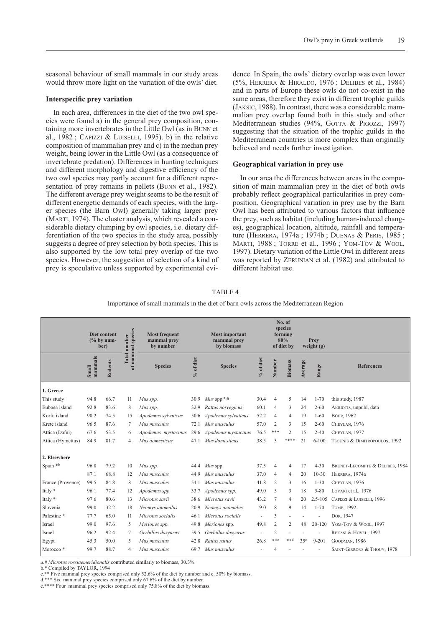seasonal behaviour of small mammals in our study areas would throw more light on the variation of the owls' diet.

#### **Interspecific prey variation**

In each area, differences in the diet of the two owl species were found a) in the general prey composition, containing more invertebrates in the Little Owl (as in BUNN et al., 1982; CAPIZZI & LUISELLI, 1995). b) in the relative composition of mammalian prey and c) in the median prey weight, being lower in the Little Owl (as a consequence of invertebrate predation). Differences in hunting techniques and different morphology and digestive efficiency of the two owl species may partly account for a different representation of prey remains in pellets (BUNN et al., 1982). The different average prey weight seems to be the result of different energetic demands of each species, with the larger species (the Barn Owl) generally taking larger prey (MARTI, 1974). The cluster analysis, which revealed a considerable dietary clumping by owl species, i.e. dietary differentiation of the two species in the study area, possibly suggests a degree of prey selection by both species. This is also supported by the low total prey overlap of the two species. However, the suggestion of selection of a kind of prey is speculative unless supported by experimental evi-

dence. In Spain, the owls' dietary overlap was even lower (5%, HERRERA & HIRALDO, 1976 ; DELIBES et al., 1984) and in parts of Europe these owls do not co-exist in the same areas, therefore they exist in different trophic guilds (JAKSIC, 1988). In contrast, there was a considerable mammalian prey overlap found both in this study and other Mediterranean studies (94%, GOTTA & PIGOZZI, 1997) suggesting that the situation of the trophic guilds in the Mediterranean countries is more complex than originally believed and needs further investigation.

## **Geographical variation in prey use**

In our area the differences between areas in the composition of main mammalian prey in the diet of both owls probably reflect geographical particularities in prey composition. Geographical variation in prey use by the Barn Owl has been attributed to various factors that influence the prey, such as habitat (including human-induced changes), geographical location, altitude, rainfall and temperature (HERRERA, 1974a ; 1974b ; DUENAS & PERIS, 1985 ; MARTI, 1988 ; TORRE et al., 1996 ; YOM-TOV & WOOL, 1997). Dietary variation of the Little Owl in different areas was reported by ZERUNIAN et al. (1982) and attributed to different habitat use.

|                        |                  | <b>Diet content</b><br>$\frac{6}{6}$ by num-<br>ber) | of mammal species<br>Total number | <b>Most frequent</b><br>mammal prev<br>by number |                          | <b>Most important</b><br>mammal prev<br>by biomass |           |                | No. of<br>species<br>forming<br>80%<br>of diet by |                 | Prev<br>weight $(g)$ |                                 |
|------------------------|------------------|------------------------------------------------------|-----------------------------------|--------------------------------------------------|--------------------------|----------------------------------------------------|-----------|----------------|---------------------------------------------------|-----------------|----------------------|---------------------------------|
|                        | mammals<br>Small | Rodents                                              |                                   | <b>Species</b>                                   | of diet<br>$\frac{5}{6}$ | <b>Species</b>                                     | % of diet | Number         | Biomass                                           | Average         | Range                | <b>References</b>               |
| 1. Greece              |                  |                                                      |                                   |                                                  |                          |                                                    |           |                |                                                   |                 |                      |                                 |
| This study             | 94.8             | 66.7                                                 | 11                                | Mus spp.                                         | 30.9                     | <i>Mus</i> spp. <sup><math>a</math></sup> #        | 30.4      | $\overline{4}$ | 5                                                 | 14              | $1 - 70$             | this study, 1987                |
| Euboea island          | 92.8             | 83.6                                                 | 8                                 | Mus spp.                                         | 32.9                     | Rattus norvegicus                                  | 60.1      | $\overline{4}$ | 3                                                 | 24              | $2 - 60$             | AKRIOTIS, unpubl. data          |
| Korfu island           | 90.2             | 74.5                                                 | 15                                | Apodemus sylvaticus                              | 50.6                     | Apodemus sylvaticus                                | 52.2      | $\overline{4}$ | $\overline{4}$                                    | 19              | $1 - 60$             | <b>BÖHR, 1962</b>               |
| Krete island           | 96.5             | 87.6                                                 | 7                                 | Mus musculus                                     | 72.1                     | Mus musculus                                       | 57.0      | $\overline{2}$ | 3                                                 | 15              | $2 - 60$             | CHEYLAN, 1976                   |
| Attica (Dafni)         | 67.6             | 53.5                                                 | 6                                 | Apodemus mystacinus                              | 29.6                     | Apodemus mystacinus                                | 76.5      | ***            | $\overline{c}$                                    | 15              | $2 - 40$             | CHEYLAN, 1977                   |
| Attica (Hymettus)      | 84.9             | 81.7                                                 | $\overline{4}$                    | Mus domesticus                                   | 47.1                     | Mus domesticus                                     | 38.5      | 3              | ****                                              | 21              | $6 - 100$            | TSOUNIS & DIMITROPOULOS, 1992   |
| 2. Elsewhere           |                  |                                                      |                                   |                                                  |                          |                                                    |           |                |                                                   |                 |                      |                                 |
| Spain <sup>*b</sup>    | 96.8             | 79.2                                                 | 10                                | Mus spp.                                         |                          | 44.4 Mus spp.                                      | 37.3      | $\overline{4}$ | $\overline{4}$                                    | 17              | $4 - 30$             | BRUNET-LECOMPTE & DELIBES, 1984 |
|                        | 87.1             | 68.8                                                 | 12                                | Mus musculus                                     | 44.9                     | Mus musculus                                       | 37.0      | $\overline{4}$ | $\overline{4}$                                    | 20              | $10 - 30$            | HERRERA, 1974a                  |
| France (Provence)      | 99.5             | 84.8                                                 | 8                                 | Mus musculus                                     | 54.1                     | Mus musculus                                       | 41.8      | 2              | 3                                                 | 16              | $1 - 30$             | CHEYLAN, 1976                   |
| Italy *                | 96.1             | 77.4                                                 | 12                                | Apodemus spp.                                    | 33.7                     | Apodemus spp.                                      | 49.0      | 5              | 3                                                 | 18              | $5 - 80$             | LOVARI et al., 1976             |
| Italy *                | 97.6             | 80.6                                                 | 13                                | Microtus savii                                   | 38.6                     | Microtus savii                                     | 43.2      | 7              | 4                                                 | 20              | $2.5 - 105$          | CAPIZZI & LUISELLI, 1996        |
| Slovenia               | 99.0             | 32.2                                                 | 18                                | Neomys anomalus                                  | 20.9                     | Neomys anomalus                                    | 19.0      | 8              | 9                                                 | 14              | $1 - 70$             | Томе, 1992                      |
| Palestine <sup>*</sup> | 77.7             | 65.0                                                 | 11                                | Microtus socialis                                | 46.1                     | Microtus socialis                                  | ÷.        | 3              |                                                   |                 | ä,                   | DOR. 1947                       |
| Israel                 | 99.0             | 97.6                                                 | 5                                 | Meriones spp.                                    | 49.8                     | Meriones spp.                                      | 49.8      | $\overline{c}$ | 2                                                 | 48              | $20 - 120$           | YOM-TOV & WOOL, 1997            |
| Israel                 | 96.2             | 92.4                                                 | 7                                 | Gerbillus dasvurus                               | 59.5                     | Gerbillus dasvurus                                 |           | $\overline{2}$ |                                                   |                 |                      | REKASI & HOVEL, 1997            |
| Egypt                  | 45.3             | 50.0                                                 | 5                                 | Mus musculus                                     | 42.8                     | Rattus rattus                                      | 26.8      | $***C$         | $***d$                                            | 35 <sup>e</sup> | $9 - 201$            | GOODMAN, 1986                   |
| Morocco <sup>*</sup>   | 99.7             | 88.7                                                 | $\overline{4}$                    | Mus musculus                                     | 69.7                     | Mus musculus                                       |           | Δ              |                                                   |                 |                      | SAINT-GIRRONS & THOUY, 1978     |

TABLE 4

| Importance of small mammals in the diet of barn owls across the Mediterranean Region |  |  |  |
|--------------------------------------------------------------------------------------|--|--|--|
|--------------------------------------------------------------------------------------|--|--|--|

*a.# Microtus rossiaemeridionalis* contributed similarly to biomass, 30.3%.

b.\* Compiled by TAYLOR, 1994

c.\*\* Five mammal prey species comprised only 52.6% of the diet by number and c. 50% by biomass.

d.\*\*\* Six mammal prey species comprised only 67.6% of the diet by number.

e.\*\*\*\* Four mammal prey species comprised only 75.8% of the diet by biomass.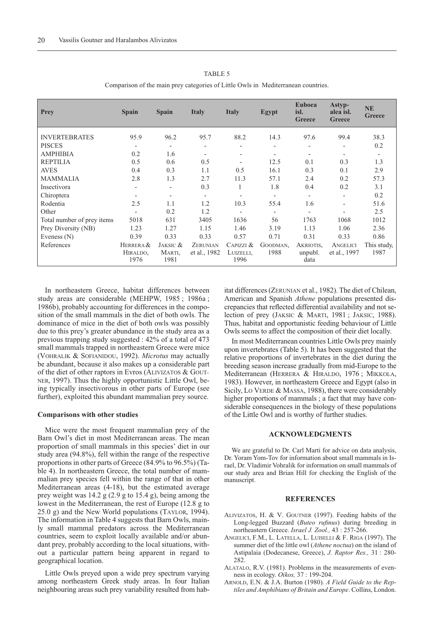TABLE 5

Comparison of the main prey categories of Little Owls in Mediterranean countries.

| <b>Prey</b>                           | <b>Spain</b>                     | <b>Spain</b>                     | <b>Italy</b>                     | <b>Italy</b>                     | Egypt                            | <b>Euboea</b><br>isl.<br><b>Greece</b> | Astyp-<br>alea isl.<br><b>Greece</b> | <b>NE</b><br><b>Greece</b> |
|---------------------------------------|----------------------------------|----------------------------------|----------------------------------|----------------------------------|----------------------------------|----------------------------------------|--------------------------------------|----------------------------|
| <b>INVERTEBRATES</b><br><b>PISCES</b> | 95.9<br>$\overline{\phantom{a}}$ | 96.2<br>$\overline{\phantom{a}}$ | 95.7<br>$\overline{\phantom{a}}$ | 88.2<br>$\overline{a}$           | 14.3<br>$\overline{\phantom{a}}$ | 97.6<br>$\overline{a}$                 | 99.4                                 | 38.3<br>0.2                |
| <b>AMPHIBIA</b>                       | 0.2                              | 1.6                              | Ξ.                               | $\overline{\phantom{a}}$         | $\overline{\phantom{a}}$         | $\overline{a}$                         |                                      | $\qquad \qquad -$          |
| <b>REPTILIA</b>                       | 0.5                              | 0.6                              | 0.5                              | $\overline{\phantom{a}}$         | 12.5                             | 0.1                                    | 0.3                                  | 1.3                        |
| <b>AVES</b>                           | 0.4                              | 0.3                              | 1.1                              | 0.5                              | 16.1                             | 0.3                                    | 0.1                                  | 2.9                        |
| <b>MAMMALIA</b>                       | 2.8                              | 1.3                              | 2.7                              | 11.3                             | 57.1                             | 2.4                                    | 0.2                                  | 57.3                       |
| Insectivora                           | $\overline{\phantom{a}}$         | $\overline{\phantom{a}}$         | 0.3                              |                                  | 1.8                              | 0.4                                    | 0.2                                  | 3.1                        |
| Chiroptera                            | $\overline{\phantom{a}}$         | $\overline{\phantom{a}}$         | Ξ.                               | $\overline{\phantom{0}}$         | $\overline{\phantom{a}}$         | $\overline{\phantom{a}}$               |                                      | 0.2                        |
| Rodentia                              | 2.5                              | 1.1                              | 1.2                              | 10.3                             | 55.4                             | 1.6                                    | $\qquad \qquad \blacksquare$         | 51.6                       |
| Other                                 | $\overline{\phantom{a}}$         | 0.2                              | 1.2                              | $\overline{\phantom{a}}$         | $\overline{\phantom{a}}$         | $\overline{\phantom{a}}$               |                                      | 2.5                        |
| Total number of prey items            | 5018                             | 631                              | 3405                             | 1636                             | 56                               | 1763                                   | 1068                                 | 1012                       |
| Prey Diversity (NB)                   | 1.23                             | 1.27                             | 1.15                             | 1.46                             | 3.19                             | 1.13                                   | 1.06                                 | 2.36                       |
| Eveness $(N)$                         | 0.39                             | 0.33                             | 0.33                             | 0.57                             | 0.71                             | 0.31                                   | 0.33                                 | 0.86                       |
| References                            | HERRERA &<br>HIRALDO,<br>1976    | JAKSIC $&$<br>MARTI,<br>1981     | <b>ZERUNIAN</b><br>et al., 1982  | CAPIZZI $&$<br>LUIZELLI,<br>1996 | GOODMAN,<br>1988                 | AKRIOTIS,<br>unpubl.<br>data           | ANGELICI<br>et al., 1997             | This study,<br>1987        |

In northeastern Greece, habitat differences between study areas are considerable (MEHPW, 1985 ; 1986a ; 1986b), probably accounting for differences in the composition of the small mammals in the diet of both owls. The dominance of mice in the diet of both owls was possibly due to this prey's greater abundance in the study area as a previous trapping study suggested : 42% of a total of 473 small mammals trapped in northeastern Greece were mice (VOHRALIK & SOFIANIDOU, 1992). *Microtus* may actually be abundant, because it also makes up a considerable part of the diet of other raptors in Evros (ALIVIZATOS & GOUT-NER, 1997). Thus the highly opportunistic Little Owl, being typically insectivorous in other parts of Europe (see further), exploited this abundant mammalian prey source.

## **Comparisons with other studies**

Mice were the most frequent mammalian prey of the Barn Owl's diet in most Mediterranean areas. The mean proportion of small mammals in this species' diet in our study area (94.8%), fell within the range of the respective proportions in other parts of Greece (84.9% to 96.5%) (Table 4). In northeastern Greece, the total number of mammalian prey species fell within the range of that in other Mediterranean areas (4-18), but the estimated average prey weight was 14.2 g (2.9 g to 15.4 g), being among the lowest in the Mediterranean, the rest of Europe (12.8 g to 25.0 g) and the New World populations (TAYLOR, 1994). The information in Table 4 suggests that Barn Owls, mainly small mammal predators across the Mediterranean countries, seem to exploit locally available and/or abundant prey, probably according to the local situations, without a particular pattern being apparent in regard to geographical location.

Little Owls preyed upon a wide prey spectrum varying among northeastern Greek study areas. In four Italian neighbouring areas such prey variability resulted from habitat differences (ZERUNIAN et al., 1982). The diet of Chilean, American and Spanish *Athene* populations presented discrepancies that reflected differential availability and not selection of prey (JAKSIC & MARTI, 1981 ; JAKSIC, 1988). Thus, habitat and opportunistic feeding behaviour of Little Owls seems to affect the composition of their diet locally.

In most Mediterranean countries Little Owls prey mainly upon invertebrates (Table 5). It has been suggested that the relative proportions of invertebrates in the diet during the breeding season increase gradually from mid-Europe to the Mediterranean (HERRERA & HIRALDO, 1976 ; MIKKOLA, 1983). However, in northeastern Greece and Egypt (also in Sicily, LO VERDE & MASSA, 1988), there were considerably higher proportions of mammals ; a fact that may have considerable consequences in the biology of these populations of the Little Owl and is worthy of further studies.

# **ACKNOWLEDGMENTS**

We are grateful to Dr. Carl Marti for advice on data analysis, Dr. Yoram Yom-Tov for information about small mammals in Israel, Dr. Vladimir Vohralik for information on small mammals of our study area and Brian Hill for checking the English of the manuscript.

## **REFERENCES**

- ALIVIZATOS, H. & V. GOUTNER (1997). Feeding habits of the Long-legged Buzzard (*Buteo rufinus*) during breeding in northeastern Greece. *Israel J. Zool.,* 43 : 257-266.
- ANGELICI, F.M., L. LATELLA, L. LUISELLI & F. RIGA (1997). The summer diet of the little owl (*Athene noctua*) on the island of Astipalaia (Dodecanese, Greece), *J. Raptor Res.,* 31 : 280- 282.
- ALATALO, R.V. (1981). Problems in the measurements of evenness in ecology. *Oikos,* 37 : 199-204.
- ARNOLD, E.N. & J.A. Burton (1980). *A Field Guide to the Reptiles and Amphibians of Britain and Europe*. Collins, London.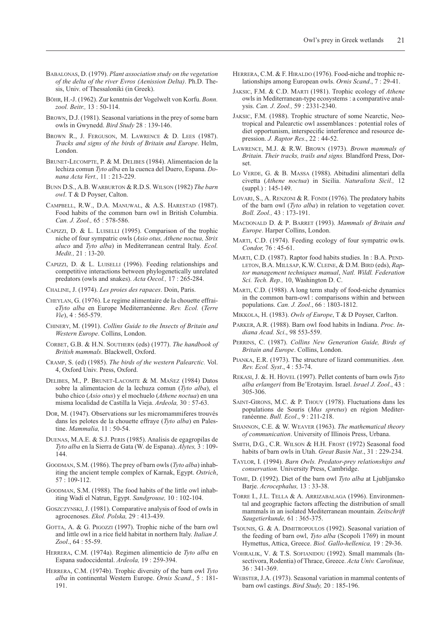- BÖHR, H.-J. (1962). Zur kenntnis der Vogelwelt von Korfu. *Bonn. zool. Beitr.,* 13 : 50-114.
- BROWN, D.J. (1981). Seasonal variations in the prey of some barn owls in Gwynedd. *Bird Study* 28 : 139-146.
- BROWN R., J. FERGUSON, M. LAWRENCE & D. LEES (1987). *Tracks and signs of the birds of Britain and Europe*. Helm, London.
- BRUNET-LECOMPTE, P. & M. DELIBES (1984). Alimentacion de la lechiza comun *Tyto alba* en la cuenca del Duero, Espana. *Donana Acta Vert.,* 11 : 213-229.
- BUNN D.S., A.B. WARBURTON & R.D.S. WILSON (1982) *The barn owl*. T & D Poyser, Calton.
- CAMPBELL, R.W., D.A. MANUWAL, & A.S. HARESTAD (1987). Food habits of the common barn owl in British Columbia. *Can. J. Zool.,* 65 : 578-586.
- CAPIZZI, D. & L. LUISELLI (1995). Comparison of the trophic niche of four sympatric owls (*Asio otus, Athene noctua, Strix aluco* and *Tyto alba*) in Mediterranean central Italy. *Ecol. Medit.,* 21 : 13-20.
- CAPIZZI, D. & L. LUISELLI (1996). Feeding relationships and competitive interactions between phylogenetically unrelated predators (owls and snakes). *Acta Oecol.,* 17 : 265-284.
- CHALINE, J. (1974). *Les proies des rapaces*. Doin, Paris.
- CHEYLAN, G. (1976). Le regime alimentaire de la chouette effraie*Tyto alba* en Europe Mediterranéenne. *Rev. Ecol.* (*Terre Vie*), 4 : 565-579.
- CHINERY, M. (1991). *Collins Guide to the Insects of Britain and Western Europe*. Collins, London.
- CORBET, G.B. & H.N. SOUTHERN (eds) (1977). *The handbook of British mammals*. Blackwell, Oxford.
- CRAMP, S. (ed) (1985). *The birds of the western Palearctic.* Vol. 4, Oxford Univ. Press, Oxford.
- DELIBES, M., P. BRUNET-LACOMTE & M. MAÑEZ (1984) Datos sobre la alimentacion de la lechuza comun (*Tyto alba*), el buho chico (*Asio otus*) y el mochuelo (*Athene noctua*) en una misma localidad de Castilla la Vieja. *Ardeola,* 30 : 57-63.
- DOR, M. (1947). Observations sur les micromammiferes trouvés dans les pelotes de la chouette effraye (*Tyto alba*) en Palestine. *Mammalia,* 11 : 50-54.
- DUENAS, M.A.E. & S.J. PERIS (1985). Analisis de egagropilas de *Tyto alba* en la Sierra de Gata (W. de Espana). *Alytes,* 3 : 109- 144.
- GOODMAN, S.M. (1986). The prey of barn owls (*Tyto alba*) inhabiting the ancient temple complex of Karnak, Egypt. *Ostrich*, 57 : 109-112.
- GOODMAN, S.M. (1988). The food habits of the little owl inhabiting Wadi el Natrun, Egypt. *Sandgrouse,* 10 : 102-104.
- GOSZCZYNSKI, J. (1981). Comparative analysis of food of owls in agrocenoses. *Ekol. Polska,* 29 : 413-439.
- GOTTA, A. & G. PIGOZZI (1997). Trophic niche of the barn owl and little owl in a rice field habitat in northern Italy. *Italian J. Zool*., 64 : 55-59.
- HERRERA, C.M. (1974a). Regimen alimenticio de *Tyto alba* en Espana sudoccidental. *Ardeola,* 19 : 259-394.
- HERRERA, C.M. (1974b). Trophic diversity of the barn owl *Tyto alba* in continental Western Europe. *Ornis Scand*., 5 : 181- 191.
- HERRERA, C.M. & F. HIRALDO (1976). Food-niche and trophic relationships among European owls. *Ornis Scand*., 7 : 29-41.
- JAKSIC, F.M. & C.D. MARTI (1981). Trophic ecology of *Athene* owls in Mediterranean-type ecosystems : a comparative analysis. *Can. J. Zool.,* 59 : 2331-2340.
- JAKSIC, F.M. (1988). Trophic structure of some Nearctic, Neotropical and Palearctic owl assemblances : potential roles of diet opportunism, interspecific interference and resource depression. *J. Raptor Res*., 22 : 44-52.
- LAWRENCE, M.J. & R.W. BROWN (1973). *Brown mammals of Britain. Their tracks, trails and signs.* Blandford Press, Dorset.
- LO VERDE, G. & B. MASSA (1988). Abitudini alimentari della civetta (*Athene noctua*) in Sicilia. *Naturalista Sicil.,* 12 (suppl.) : 145-149.
- LOVARI, S., A. RENZONI & R. FONDI (1976). The predatory habits of the barn owl (*Tyto alba*) in relation to vegetation cover. *Boll. Zool.,* 43 : 173-191.
- MACDONALD D. & P. BARRET (1993). *Mammals of Britain and Europe*. Harper Collins, London.
- MARTI, C.D. (1974). Feeding ecology of four sympatric owls. *Condor,* 76 : 45-61.
- MARTI, C.D. (1987). Raptor food habits studies. In : B.A. PEND-LETON, B.A. MILLSAP, K.W. CLEINE, & D.M. BIRD (eds), *Raptor management techniques manual*, *Natl. Wildl. Federation Sci. Tech. Rep.,* 10, Washington D. C.
- MARTI, C.D. (1988). A long term study of food-niche dynamics in the common barn-owl : comparisons within and between populations. *Can. J. Zool*., 66 : 1803-1812.
- MIKKOLA, H. (1983). *Owls of Europe*, T & D Poyser, Carlton.
- PARKER, A.R. (1988). Barn owl food habits in Indiana. *Proc. Indiana Acad. Sci*., 98 553-559.
- PERRINS, C. (1987). *Collins New Generation Guide, Birds of Britain and Europe*. Collins, London.
- PIANKA, E.R. (1973). The structure of lizard communities. *Ann. Rev. Ecol. Syst*., 4 : 53-74.
- REKASI, J. &. H. HOVEL (1997). Pellet contents of barn owls *Tyto alba erlangeri* from Be'Erotayim. Israel. *Israel J. Zool*., 43 : 305-306.
- SAINT-GIRONS, M.C. & P. THOUY (1978). Fluctuations dans les populations de Souris (*Mus spretus*) en région Mediterranéenne. *Bull. Ecol*., 9 : 211-218.
- SHANNON, C.E. & W. WEAVER (1963). *The mathematical theory of communication*. University of Illinois Press, Urbana.
- SMITH, D.G., C.R. WILSON & H.H. FROST (1972) Seasonal food habits of barn owls in Utah. *Great Basin Nat*., 31 : 229-234.
- TAYLOR, I. (1994). *Barn Owls. Predator-prey relationships and conservation.* University Press, Cambridge.
- TOME, D. (1992). Diet of the barn owl *Tyto alba* at Ljubljansko Barje. *Acrocephalus,* 13 : 33-38.
- TORRE I., J.L. TELLA & A. ARRIZABALAGA (1996). Environmental and geographic factors affecting the distribution of small mammals in an isolated Mediterranean mountain. *Zeitschrift Saugetierkunde,* 61 : 365-375.
- TSOUNIS, G. & A. DIMITROPOULOS (1992). Seasonal variation of the feeding of barn owl, *Tyto alba* (Scopoli 1769) in mount Hymettus, Attica, Greece. *Biol. Gallo-hellenica,* 19 : 29-36.
- VOHRALIK, V. & T.S. SOFIANIDOU (1992). Small mammals (Insectivora, Rodentia) of Thrace, Greece. *Acta Univ. Carolinae,*  $36 \cdot 341 - 369$
- WEBSTER, J.A. (1973). Seasonal variation in mammal contents of barn owl castings. *Bird Study,* 20 : 185-196.